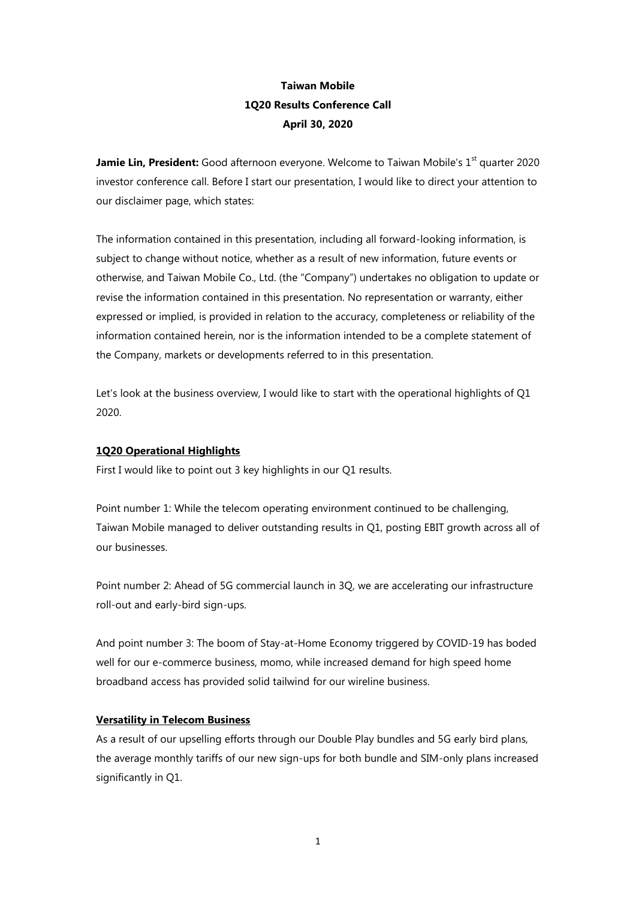# **Taiwan Mobile 1Q20 Results Conference Call April 30, 2020**

**Jamie Lin, President:** Good afternoon everyone. Welcome to Taiwan Mobile's 1<sup>st</sup> quarter 2020 investor conference call. Before I start our presentation, I would like to direct your attention to our disclaimer page, which states:

The information contained in this presentation, including all forward-looking information, is subject to change without notice, whether as a result of new information, future events or otherwise, and Taiwan Mobile Co., Ltd. (the "Company") undertakes no obligation to update or revise the information contained in this presentation. No representation or warranty, either expressed or implied, is provided in relation to the accuracy, completeness or reliability of the information contained herein, nor is the information intended to be a complete statement of the Company, markets or developments referred to in this presentation.

Let's look at the business overview, I would like to start with the operational highlights of Q1 2020.

# **1Q20 Operational Highlights**

First I would like to point out 3 key highlights in our Q1 results.

Point number 1: While the telecom operating environment continued to be challenging, Taiwan Mobile managed to deliver outstanding results in Q1, posting EBIT growth across all of our businesses.

Point number 2: Ahead of 5G commercial launch in 3Q, we are accelerating our infrastructure roll-out and early-bird sign-ups.

And point number 3: The boom of Stay-at-Home Economy triggered by COVID-19 has boded well for our e-commerce business, momo, while increased demand for high speed home broadband access has provided solid tailwind for our wireline business.

# **Versatility in Telecom Business**

As a result of our upselling efforts through our Double Play bundles and 5G early bird plans, the average monthly tariffs of our new sign-ups for both bundle and SIM-only plans increased significantly in Q1.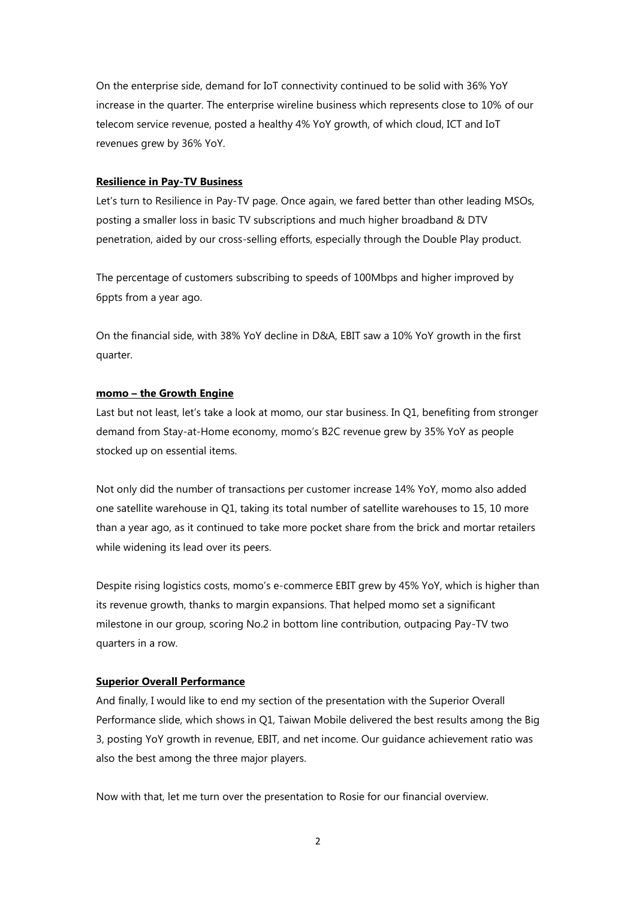On the enterprise side, demand for IoT connectivity continued to be solid with 36% YoY increase in the quarter. The enterprise wireline business which represents close to 10% of our telecom service revenue, posted a healthy 4% YoY growth, of which cloud, ICT and IoT revenues grew by 36% YoY.

#### **Resilience in Pay-TV Business**

Let's turn to Resilience in Pay-TV page. Once again, we fared better than other leading MSOs, posting a smaller loss in basic TV subscriptions and much higher broadband & DTV penetration, aided by our cross-selling efforts, especially through the Double Play product.

The percentage of customers subscribing to speeds of 100Mbps and higher improved by 6ppts from a year ago.

On the financial side, with 38% YoY decline in D&A, EBIT saw a 10% YoY growth in the first quarter.

### **momo – the Growth Engine**

Last but not least, let's take a look at momo, our star business. In Q1, benefiting from stronger demand from Stay-at-Home economy, momo's B2C revenue grew by 35% YoY as people stocked up on essential items.

Not only did the number of transactions per customer increase 14% YoY, momo also added one satellite warehouse in Q1, taking its total number of satellite warehouses to 15, 10 more than a year ago, as it continued to take more pocket share from the brick and mortar retailers while widening its lead over its peers.

Despite rising logistics costs, momo's e-commerce EBIT grew by 45% YoY, which is higher than its revenue growth, thanks to margin expansions. That helped momo set a significant milestone in our group, scoring No.2 in bottom line contribution, outpacing Pay-TV two quarters in a row.

# **Superior Overall Performance**

And finally, I would like to end my section of the presentation with the Superior Overall Performance slide, which shows in Q1, Taiwan Mobile delivered the best results among the Big 3, posting YoY growth in revenue, EBIT, and net income. Our guidance achievement ratio was also the best among the three major players.

Now with that, let me turn over the presentation to Rosie for our financial overview.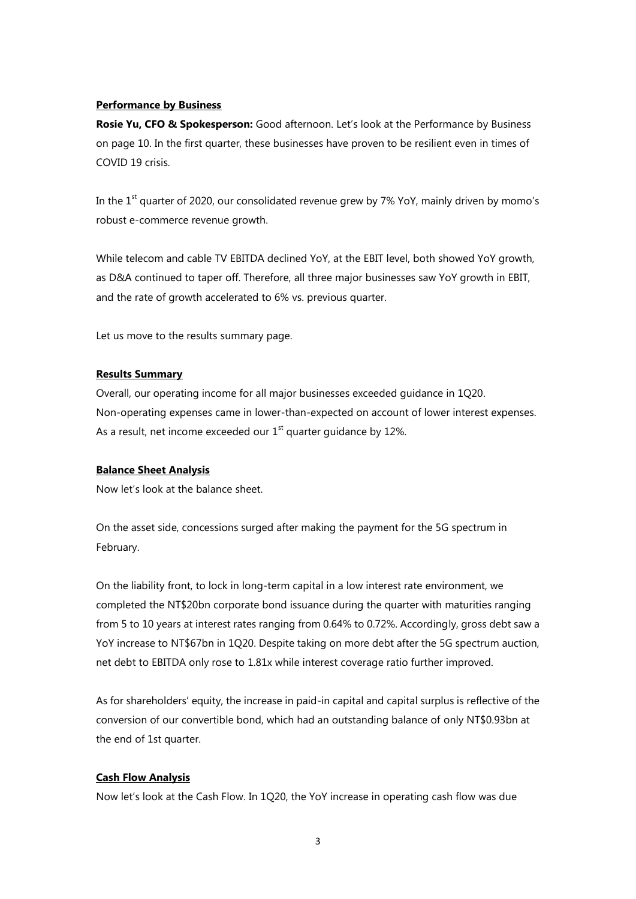# **Performance by Business**

**Rosie Yu, CFO & Spokesperson:** Good afternoon. Let's look at the Performance by Business on page 10. In the first quarter, these businesses have proven to be resilient even in times of COVID 19 crisis.

In the  $1<sup>st</sup>$  quarter of 2020, our consolidated revenue grew by 7% YoY, mainly driven by momo's robust e-commerce revenue growth.

While telecom and cable TV EBITDA declined YoY, at the EBIT level, both showed YoY growth, as D&A continued to taper off. Therefore, all three major businesses saw YoY growth in EBIT, and the rate of growth accelerated to 6% vs. previous quarter.

Let us move to the results summary page.

### **Results Summary**

Overall, our operating income for all major businesses exceeded guidance in 1Q20. Non-operating expenses came in lower-than-expected on account of lower interest expenses. As a result, net income exceeded our  $1<sup>st</sup>$  quarter guidance by 12%.

#### **Balance Sheet Analysis**

Now let's look at the balance sheet.

On the asset side, concessions surged after making the payment for the 5G spectrum in February.

On the liability front, to lock in long-term capital in a low interest rate environment, we completed the NT\$20bn corporate bond issuance during the quarter with maturities ranging from 5 to 10 years at interest rates ranging from 0.64% to 0.72%. Accordingly, gross debt saw a YoY increase to NT\$67bn in 1Q20. Despite taking on more debt after the 5G spectrum auction, net debt to EBITDA only rose to 1.81x while interest coverage ratio further improved.

As for shareholders' equity, the increase in paid-in capital and capital surplus is reflective of the conversion of our convertible bond, which had an outstanding balance of only NT\$0.93bn at the end of 1st quarter.

#### **Cash Flow Analysis**

Now let's look at the Cash Flow. In 1Q20, the YoY increase in operating cash flow was due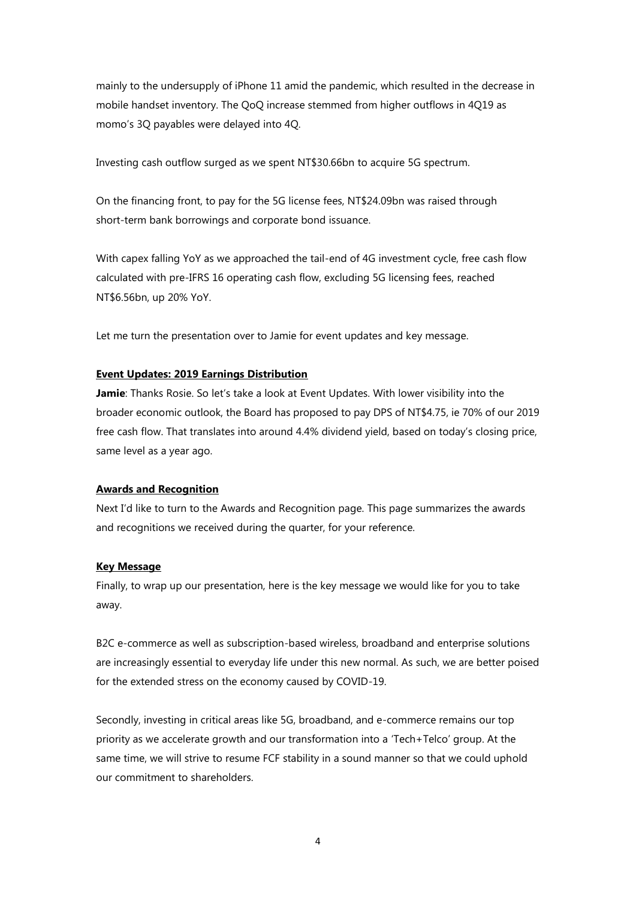mainly to the undersupply of iPhone 11 amid the pandemic, which resulted in the decrease in mobile handset inventory. The QoQ increase stemmed from higher outflows in 4Q19 as momo's 3Q payables were delayed into 4Q.

Investing cash outflow surged as we spent NT\$30.66bn to acquire 5G spectrum.

On the financing front, to pay for the 5G license fees, NT\$24.09bn was raised through short-term bank borrowings and corporate bond issuance.

With capex falling YoY as we approached the tail-end of 4G investment cycle, free cash flow calculated with pre-IFRS 16 operating cash flow, excluding 5G licensing fees, reached NT\$6.56bn, up 20% YoY.

Let me turn the presentation over to Jamie for event updates and key message.

### **Event Updates: 2019 Earnings Distribution**

**Jamie**: Thanks Rosie. So let's take a look at Event Updates. With lower visibility into the broader economic outlook, the Board has proposed to pay DPS of NT\$4.75, ie 70% of our 2019 free cash flow. That translates into around 4.4% dividend yield, based on today's closing price, same level as a year ago.

#### **Awards and Recognition**

Next I'd like to turn to the Awards and Recognition page. This page summarizes the awards and recognitions we received during the quarter, for your reference.

## **Key Message**

Finally, to wrap up our presentation, here is the key message we would like for you to take away.

B2C e-commerce as well as subscription-based wireless, broadband and enterprise solutions are increasingly essential to everyday life under this new normal. As such, we are better poised for the extended stress on the economy caused by COVID-19.

Secondly, investing in critical areas like 5G, broadband, and e-commerce remains our top priority as we accelerate growth and our transformation into a 'Tech+Telco' group. At the same time, we will strive to resume FCF stability in a sound manner so that we could uphold our commitment to shareholders.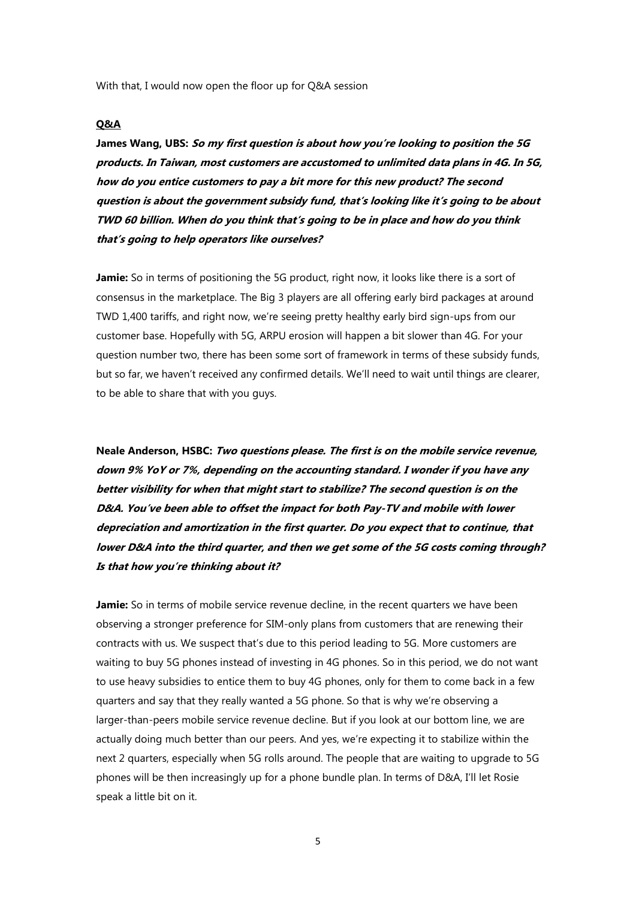With that, I would now open the floor up for Q&A session

#### **Q&A**

**James Wang, UBS: So my first question is about how you're looking to position the 5G products. In Taiwan, most customers are accustomed to unlimited data plans in 4G. In 5G, how do you entice customers to pay a bit more for this new product? The second question is about the government subsidy fund, that's looking like it's going to be about TWD 60 billion. When do you think that's going to be in place and how do you think that's going to help operators like ourselves?**

**Jamie:** So in terms of positioning the 5G product, right now, it looks like there is a sort of consensus in the marketplace. The Big 3 players are all offering early bird packages at around TWD 1,400 tariffs, and right now, we're seeing pretty healthy early bird sign-ups from our customer base. Hopefully with 5G, ARPU erosion will happen a bit slower than 4G. For your question number two, there has been some sort of framework in terms of these subsidy funds, but so far, we haven't received any confirmed details. We'll need to wait until things are clearer, to be able to share that with you guys.

**Neale Anderson, HSBC: Two questions please. The first is on the mobile service revenue, down 9% YoY or 7%, depending on the accounting standard. I wonder if you have any better visibility for when that might start to stabilize? The second question is on the D&A. You've been able to offset the impact for both Pay-TV and mobile with lower depreciation and amortization in the first quarter. Do you expect that to continue, that lower D&A into the third quarter, and then we get some of the 5G costs coming through? Is that how you're thinking about it?**

**Jamie:** So in terms of mobile service revenue decline, in the recent quarters we have been observing a stronger preference for SIM-only plans from customers that are renewing their contracts with us. We suspect that's due to this period leading to 5G. More customers are waiting to buy 5G phones instead of investing in 4G phones. So in this period, we do not want to use heavy subsidies to entice them to buy 4G phones, only for them to come back in a few quarters and say that they really wanted a 5G phone. So that is why we're observing a larger-than-peers mobile service revenue decline. But if you look at our bottom line, we are actually doing much better than our peers. And yes, we're expecting it to stabilize within the next 2 quarters, especially when 5G rolls around. The people that are waiting to upgrade to 5G phones will be then increasingly up for a phone bundle plan. In terms of D&A, I'll let Rosie speak a little bit on it.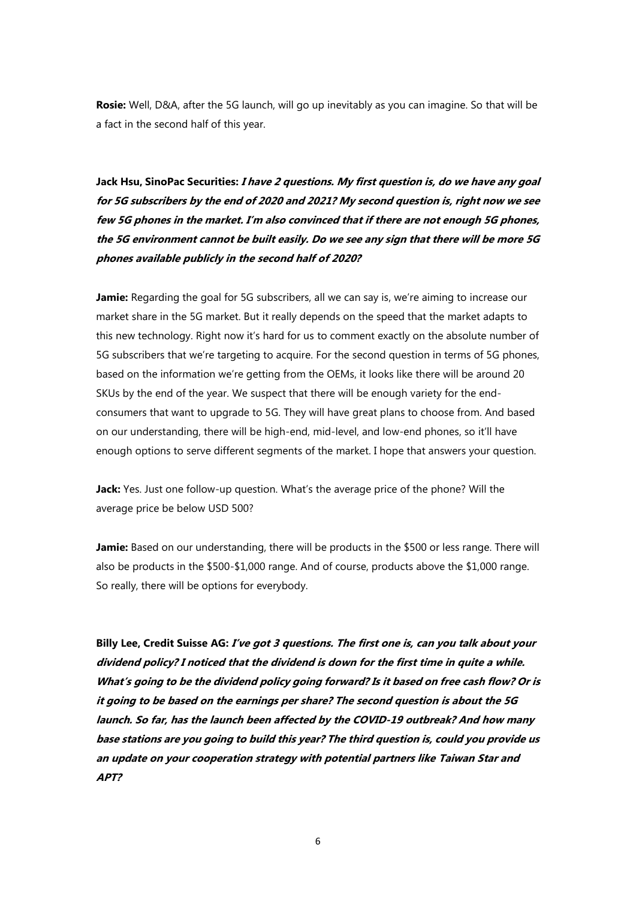**Rosie:** Well, D&A, after the 5G launch, will go up inevitably as you can imagine. So that will be a fact in the second half of this year.

**Jack Hsu, SinoPac Securities: I have 2 questions. My first question is, do we have any goal for 5G subscribers by the end of 2020 and 2021? My second question is, right now we see few 5G phones in the market. I'm also convinced that if there are not enough 5G phones, the 5G environment cannot be built easily. Do we see any sign that there will be more 5G phones available publicly in the second half of 2020?**

**Jamie:** Regarding the goal for 5G subscribers, all we can say is, we're aiming to increase our market share in the 5G market. But it really depends on the speed that the market adapts to this new technology. Right now it's hard for us to comment exactly on the absolute number of 5G subscribers that we're targeting to acquire. For the second question in terms of 5G phones, based on the information we're getting from the OEMs, it looks like there will be around 20 SKUs by the end of the year. We suspect that there will be enough variety for the endconsumers that want to upgrade to 5G. They will have great plans to choose from. And based on our understanding, there will be high-end, mid-level, and low-end phones, so it'll have enough options to serve different segments of the market. I hope that answers your question.

**Jack:** Yes. Just one follow-up question. What's the average price of the phone? Will the average price be below USD 500?

**Jamie:** Based on our understanding, there will be products in the \$500 or less range. There will also be products in the \$500-\$1,000 range. And of course, products above the \$1,000 range. So really, there will be options for everybody.

**Billy Lee, Credit Suisse AG: I've got 3 questions. The first one is, can you talk about your dividend policy? I noticed that the dividend is down for the first time in quite a while. What's going to be the dividend policy going forward? Is it based on free cash flow? Or is it going to be based on the earnings per share? The second question is about the 5G launch. So far, has the launch been affected by the COVID-19 outbreak? And how many base stations are you going to build this year? The third question is, could you provide us an update on your cooperation strategy with potential partners like Taiwan Star and APT?**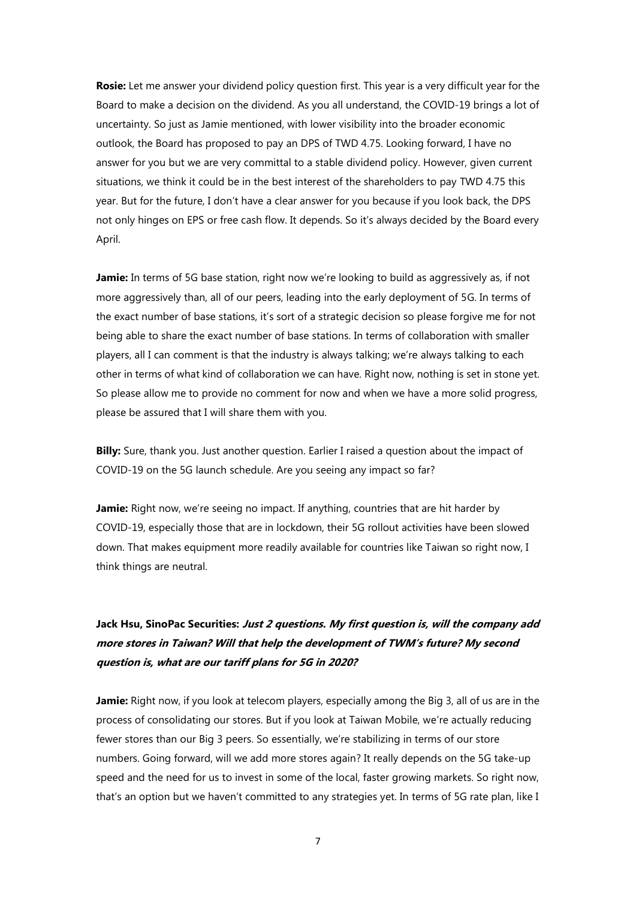**Rosie:** Let me answer your dividend policy question first. This year is a very difficult year for the Board to make a decision on the dividend. As you all understand, the COVID-19 brings a lot of uncertainty. So just as Jamie mentioned, with lower visibility into the broader economic outlook, the Board has proposed to pay an DPS of TWD 4.75. Looking forward, I have no answer for you but we are very committal to a stable dividend policy. However, given current situations, we think it could be in the best interest of the shareholders to pay TWD 4.75 this year. But for the future, I don't have a clear answer for you because if you look back, the DPS not only hinges on EPS or free cash flow. It depends. So it's always decided by the Board every April.

**Jamie:** In terms of 5G base station, right now we're looking to build as aggressively as, if not more aggressively than, all of our peers, leading into the early deployment of 5G. In terms of the exact number of base stations, it's sort of a strategic decision so please forgive me for not being able to share the exact number of base stations. In terms of collaboration with smaller players, all I can comment is that the industry is always talking; we're always talking to each other in terms of what kind of collaboration we can have. Right now, nothing is set in stone yet. So please allow me to provide no comment for now and when we have a more solid progress, please be assured that I will share them with you.

**Billy:** Sure, thank you. Just another question. Earlier I raised a question about the impact of COVID-19 on the 5G launch schedule. Are you seeing any impact so far?

**Jamie:** Right now, we're seeing no impact. If anything, countries that are hit harder by COVID-19, especially those that are in lockdown, their 5G rollout activities have been slowed down. That makes equipment more readily available for countries like Taiwan so right now, I think things are neutral.

# **Jack Hsu, SinoPac Securities: Just 2 questions. My first question is, will the company add more stores in Taiwan? Will that help the development of TWM's future? My second question is, what are our tariff plans for 5G in 2020?**

**Jamie:** Right now, if you look at telecom players, especially among the Big 3, all of us are in the process of consolidating our stores. But if you look at Taiwan Mobile, we're actually reducing fewer stores than our Big 3 peers. So essentially, we're stabilizing in terms of our store numbers. Going forward, will we add more stores again? It really depends on the 5G take-up speed and the need for us to invest in some of the local, faster growing markets. So right now, that's an option but we haven't committed to any strategies yet. In terms of 5G rate plan, like I